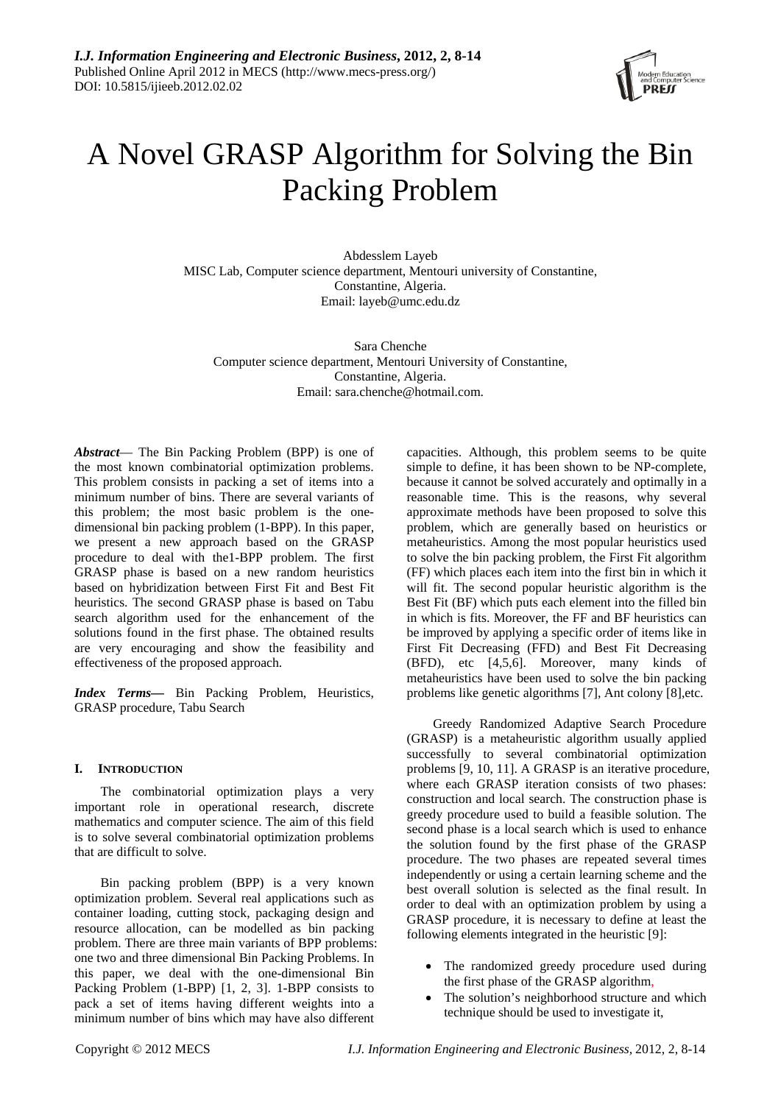

# A Novel GRASP Algorithm for Solving the Bin Packing Problem

Abdesslem Layeb MISC Lab, Computer science department, Mentouri university of Constantine, Constantine, Algeria. Email: layeb@umc.edu.dz

Sara Chenche Computer science department, Mentouri University of Constantine, Constantine, Algeria. Email: sara.chenche@hotmail.com.

*Abstract*— The Bin Packing Problem (BPP) is one of the most known combinatorial optimization problems. This problem consists in packing a set of items into a minimum number of bins. There are several variants of this problem; the most basic problem is the onedimensional bin packing problem (1-BPP). In this paper, we present a new approach based on the GRASP procedure to deal with the1-BPP problem. The first GRASP phase is based on a new random heuristics based on hybridization between First Fit and Best Fit heuristics. The second GRASP phase is based on Tabu search algorithm used for the enhancement of the solutions found in the first phase. The obtained results are very encouraging and show the feasibility and effectiveness of the proposed approach.

*Index Terms***—** Bin Packing Problem, Heuristics, GRASP procedure, Tabu Search

# **I. INTRODUCTION**

The combinatorial optimization plays a very important role in operational research, discrete mathematics and computer science. The aim of this field is to solve several combinatorial optimization problems that are difficult to solve.

Bin packing problem (BPP) is a very known optimization problem. Several real applications such as container loading, cutting stock, packaging design and resource allocation, can be modelled as bin packing problem. There are three main variants of BPP problems: one two and three dimensional Bin Packing Problems. In this paper, we deal with the one-dimensional Bin Packing Problem (1-BPP) [1, 2, 3]. 1-BPP consists to pack a set of items having different weights into a minimum number of bins which may have also different

capacities. Although, this problem seems to be quite simple to define, it has been shown to be NP-complete, because it cannot be solved accurately and optimally in a reasonable time. This is the reasons, why several approximate methods have been proposed to solve this problem, which are generally based on heuristics or metaheuristics. Among the most popular heuristics used to solve the bin packing problem, the First Fit algorithm (FF) which places each item into the first bin in which it will fit. The second popular heuristic algorithm is the Best Fit (BF) which puts each element into the filled bin in which is fits. Moreover, the FF and BF heuristics can be improved by applying a specific order of items like in First Fit Decreasing (FFD) and Best Fit Decreasing (BFD), etc [4,5,6]. Moreover, many kinds of metaheuristics have been used to solve the bin packing problems like genetic algorithms [7], Ant colony [8],etc.

Greedy Randomized Adaptive Search Procedure (GRASP) is a metaheuristic algorithm usually applied successfully to several combinatorial optimization problems [9, 10, 11]. A GRASP is an iterative procedure, where each GRASP iteration consists of two phases: construction and local search. The construction phase is greedy procedure used to build a feasible solution. The second phase is a local search which is used to enhance the solution found by the first phase of the GRASP procedure. The two phases are repeated several times independently or using a certain learning scheme and the best overall solution is selected as the final result. In order to deal with an optimization problem by using a GRASP procedure, it is necessary to define at least the following elements integrated in the heuristic [9]:

- The randomized greedy procedure used during the first phase of the GRASP algorithm,
- The solution's neighborhood structure and which technique should be used to investigate it,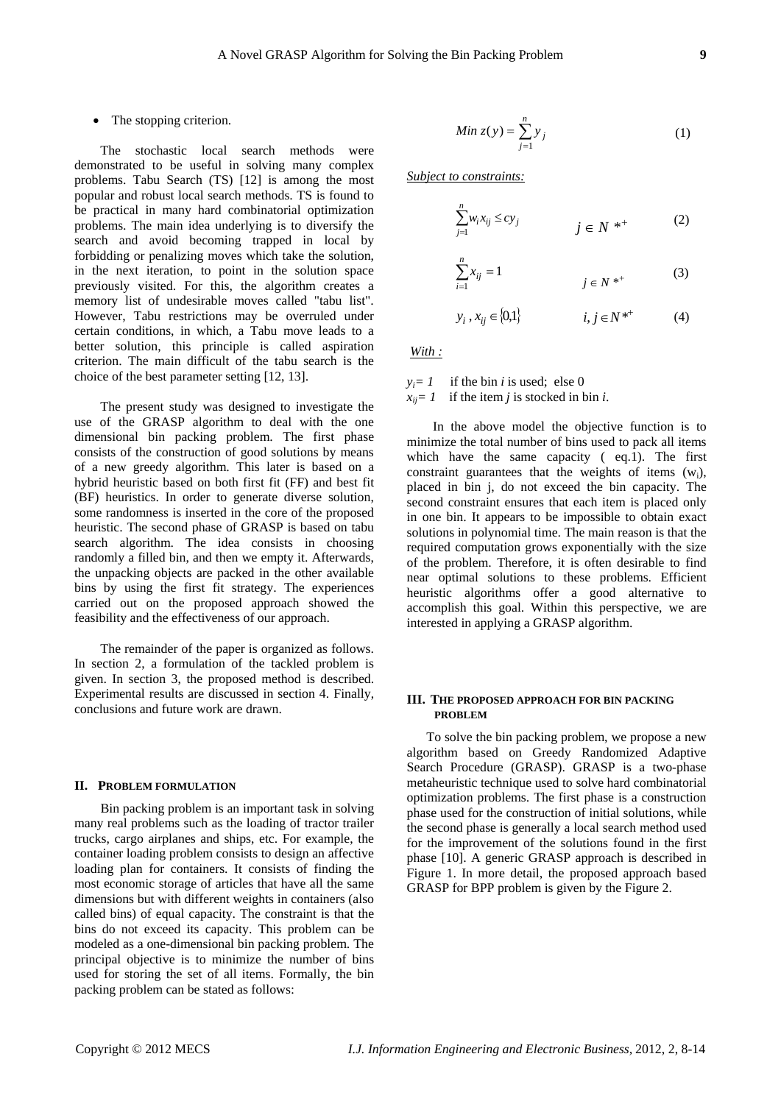# • The stopping criterion.

The stochastic local search methods were demonstrated to be useful in solving many complex problems. Tabu Search (TS) [12] is among the most popular and robust local search methods. TS is found to be practical in many hard combinatorial optimization problems. The main idea underlying is to diversify the search and avoid becoming trapped in local by forbidding or penalizing moves which take the solution, in the next iteration, to point in the solution space previously visited. For this, the algorithm creates a memory list of undesirable moves called "tabu list". However, Tabu restrictions may be overruled under certain conditions, in which, a Tabu move leads to a better solution, this principle is called aspiration criterion. The main difficult of the tabu search is the choice of the best parameter setting [12, 13].

The present study was designed to investigate the use of the GRASP algorithm to deal with the one dimensional bin packing problem. The first phase consists of the construction of good solutions by means of a new greedy algorithm. This later is based on a hybrid heuristic based on both first fit (FF) and best fit (BF) heuristics. In order to generate diverse solution, some randomness is inserted in the core of the proposed heuristic. The second phase of GRASP is based on tabu search algorithm. The idea consists in choosing randomly a filled bin, and then we empty it. Afterwards, the unpacking objects are packed in the other available bins by using the first fit strategy. The experiences carried out on the proposed approach showed the feasibility and the effectiveness of our approach.

The remainder of the paper is organized as follows. In section 2, a formulation of the tackled problem is given. In section 3, the proposed method is described. Experimental results are discussed in section 4. Finally, conclusions and future work are drawn.

## **II. PROBLEM FORMULATION**

Bin packing problem is an important task in solving many real problems such as the loading of tractor trailer trucks, cargo airplanes and ships, etc. For example, the container loading problem consists to design an affective loading plan for containers. It consists of finding the most economic storage of articles that have all the same dimensions but with different weights in containers (also called bins) of equal capacity. The constraint is that the bins do not exceed its capacity. This problem can be modeled as a one-dimensional bin packing problem. The principal objective is to minimize the number of bins used for storing the set of all items. Formally, the bin packing problem can be stated as follows:

$$
Min z(y) = \sum_{j=1}^{n} y_j
$$
 (1)

*Subject to constraints:* 

*n*

*i*

$$
\sum_{j=1}^{n} w_i x_{ij} \le c y_j \qquad \qquad j \in N^* \tag{2}
$$

$$
\sum_{i=1}^{n} x_{ij} = 1 \tag{3}
$$

$$
y_i, x_{ij} \in \{0,1\}
$$
  $i, j \in N^{*+}$  (4)

*With :* 

 $y_i = 1$  if the bin *i* is used; else 0  $x_{ii} = 1$  if the item *i* is stocked in bin *i*.

In the above model the objective function is to minimize the total number of bins used to pack all items which have the same capacity ( eq.1). The first constraint guarantees that the weights of items  $(w_i)$ , placed in bin j, do not exceed the bin capacity. The second constraint ensures that each item is placed only in one bin. It appears to be impossible to obtain exact solutions in polynomial time. The main reason is that the required computation grows exponentially with the size of the problem. Therefore, it is often desirable to find near optimal solutions to these problems. Efficient heuristic algorithms offer a good alternative to accomplish this goal. Within this perspective, we are interested in applying a GRASP algorithm.

# **III. THE PROPOSED APPROACH FOR BIN PACKING PROBLEM**

To solve the bin packing problem, we propose a new algorithm based on Greedy Randomized Adaptive Search Procedure (GRASP). GRASP is a two-phase metaheuristic technique used to solve hard combinatorial optimization problems. The first phase is a construction phase used for the construction of initial solutions, while the second phase is generally a local search method used for the improvement of the solutions found in the first phase [10]. A generic GRASP approach is described in Figure 1. In more detail, the proposed approach based GRASP for BPP problem is given by the Figure 2.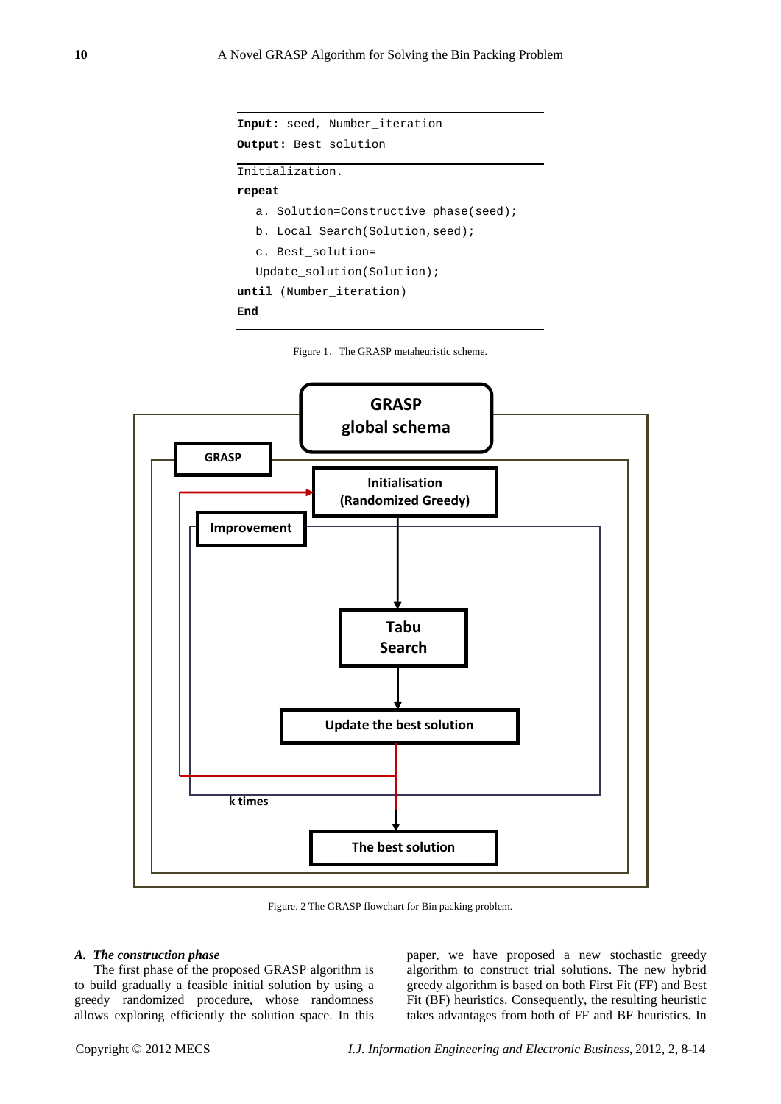```
Input: seed, Number_iteration 
Output: Best_solution 
Initialization. 
repeat 
  a. Solution=Constructive_phase(seed); 
  b. Local_Search(Solution,seed); 
  c. Best_solution= 
  Update_solution(Solution); 
until (Number_iteration) 
End
```




Figure. 2 The GRASP flowchart for Bin packing problem.

## *A. The construction phase*

The first phase of the proposed GRASP algorithm is to build gradually a feasible initial solution by using a greedy randomized procedure, whose randomness allows exploring efficiently the solution space. In this paper, we have proposed a new stochastic greedy algorithm to construct trial solutions. The new hybrid greedy algorithm is based on both First Fit (FF) and Best Fit (BF) heuristics. Consequently, the resulting heuristic takes advantages from both of FF and BF heuristics. In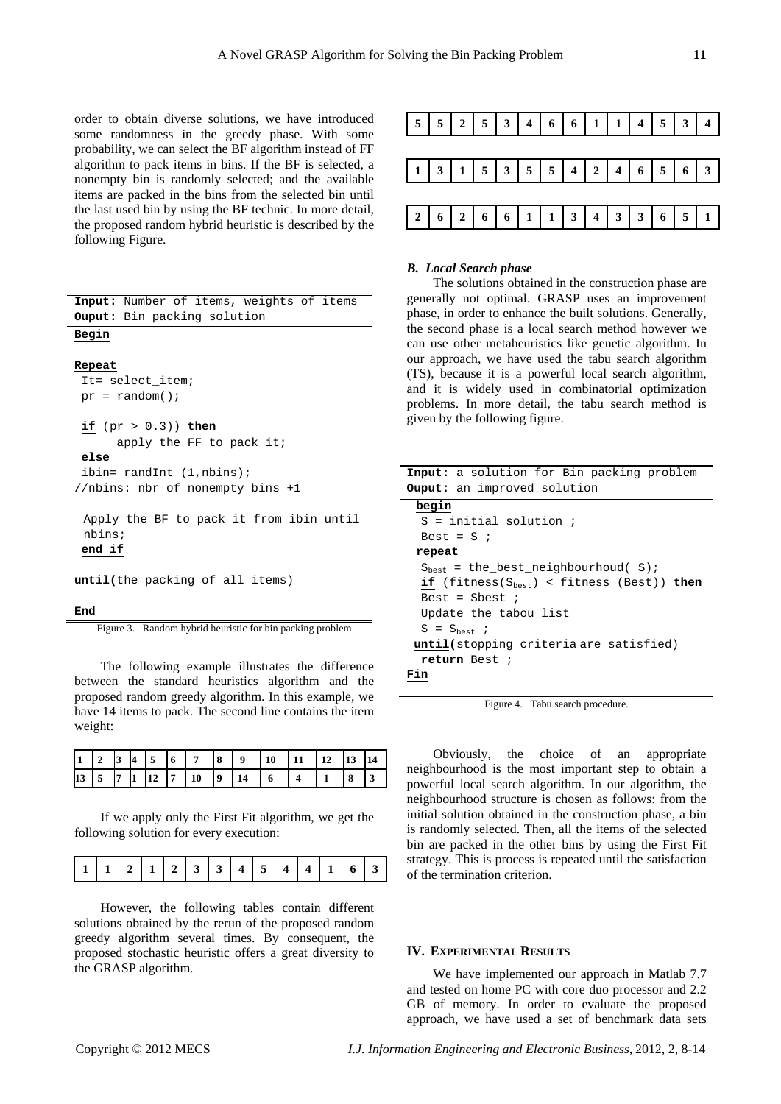order to obtain diverse solutions, we have introduced some randomness in the greedy phase. With some probability, we can select the BF algorithm instead of FF algorithm to pack items in bins. If the BF is selected, a nonempty bin is randomly selected; and the available items are packed in the bins from the selected bin until the last used bin by using the BF technic. In more detail, the proposed random hybrid heuristic is described by the following Figure.

| Input: Number of items, weights of items |
|------------------------------------------|
| <b>Ouput:</b> Bin packing solution       |
| Begin                                    |
|                                          |
| Repeat                                   |
| It= select item;                         |
| $pr = random()$                          |
|                                          |
| if (pr > 0.3)) then                      |
| apply the FF to pack it;                 |
| else                                     |
| ibin= randInt $(1, \text{nbins})$ ;      |
| //nbins: nbr of nonempty bins +1         |
|                                          |
| Apply the BF to pack it from ibin until  |
| nbins;                                   |
| end if                                   |
|                                          |

**until(**the packing of all items)

#### **End**

Figure 3. Random hybrid heuristic for bin packing problem

The following example illustrates the difference between the standard heuristics algorithm and the proposed random greedy algorithm. In this example, we have 14 items to pack. The second line contains the item weight:

If we apply only the First Fit algorithm, we get the following solution for every execution:

|  |  |  |  | $11$ $12$ |  | $\mathbf{a}$ | $\Lambda$ | $\epsilon$ . | $\overline{A}$ |  |  |  |  |
|--|--|--|--|-----------|--|--------------|-----------|--------------|----------------|--|--|--|--|
|--|--|--|--|-----------|--|--------------|-----------|--------------|----------------|--|--|--|--|

However, the following tables contain different solutions obtained by the rerun of the proposed random greedy algorithm several times. By consequent, the proposed stochastic heuristic offers a great diversity to the GRASP algorithm.



# *B. Local Search phase*

The solutions obtained in the construction phase are generally not optimal. GRASP uses an improvement phase, in order to enhance the built solutions. Generally, the second phase is a local search method however we can use other metaheuristics like genetic algorithm. In our approach, we have used the tabu search algorithm (TS), because it is a powerful local search algorithm, and it is widely used in combinatorial optimization problems. In more detail, the tabu search method is given by the following figure.

| Input: a solution for Bin packing problem        |
|--------------------------------------------------|
| <b>Ouput:</b> an improved solution               |
| begin                                            |
| $S = initial solution$ ;                         |
| Best = $S$ ;                                     |
| repeat                                           |
| $S_{best}$ = the_best_neighbourhoud( S);         |
| if (fitness( $S_{best}$ ) < fitness (Best)) then |
| Best = Sbest $\imath$                            |
| Update the tabou list                            |
| $S = S_{\text{best}}$                            |
| <b>until</b> (stopping criteria are satisfied)   |
| return Best ;                                    |
|                                                  |
|                                                  |

Figure 4. Tabu search procedure.

Obviously, the choice of an appropriate neighbourhood is the most important step to obtain a powerful local search algorithm. In our algorithm, the neighbourhood structure is chosen as follows: from the initial solution obtained in the construction phase, a bin is randomly selected. Then, all the items of the selected bin are packed in the other bins by using the First Fit strategy. This is process is repeated until the satisfaction of the termination criterion.

## **IV. EXPERIMENTAL RESULTS**

We have implemented our approach in Matlab 7.7 and tested on home PC with core duo processor and 2.2 GB of memory. In order to evaluate the proposed approach, we have used a set of benchmark data sets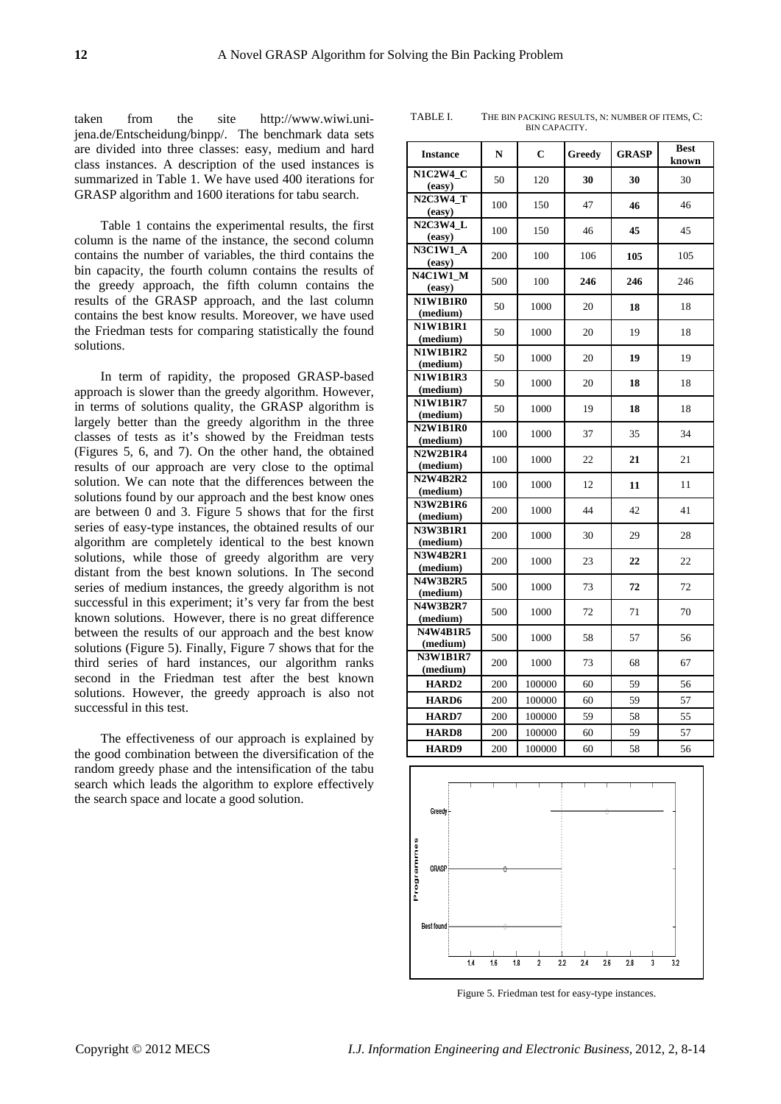taken from the site http://www.wiwi.unijena.de/Entscheidung/binpp/. The benchmark data sets are divided into three classes: easy, medium and hard class instances. A description of the used instances is summarized in Table 1. We have used 400 iterations for GRASP algorithm and 1600 iterations for tabu search.

Table 1 contains the experimental results, the first column is the name of the instance, the second column contains the number of variables, the third contains the bin capacity, the fourth column contains the results of the greedy approach, the fifth column contains the results of the GRASP approach, and the last column contains the best know results. Moreover, we have used the Friedman tests for comparing statistically the found solutions.

In term of rapidity, the proposed GRASP-based approach is slower than the greedy algorithm. However, in terms of solutions quality, the GRASP algorithm is largely better than the greedy algorithm in the three classes of tests as it's showed by the Freidman tests (Figures 5, 6, and 7). On the other hand, the obtained results of our approach are very close to the optimal solution. We can note that the differences between the solutions found by our approach and the best know ones are between 0 and 3. Figure 5 shows that for the first series of easy-type instances, the obtained results of our algorithm are completely identical to the best known solutions, while those of greedy algorithm are very distant from the best known solutions. In The second series of medium instances, the greedy algorithm is not successful in this experiment; it's very far from the best known solutions. However, there is no great difference between the results of our approach and the best know solutions (Figure 5). Finally, Figure 7 shows that for the third series of hard instances, our algorithm ranks second in the Friedman test after the best known solutions. However, the greedy approach is also not successful in this test.

The effectiveness of our approach is explained by the good combination between the diversification of the random greedy phase and the intensification of the tabu search which leads the algorithm to explore effectively the search space and locate a good solution.

TABLE I. THE BIN PACKING RESULTS, N: NUMBER OF ITEMS, C: BIN CAPACITY.

| <b>Instance</b>             | N   | $\mathbf C$ | <b>Greedy</b> | <b>GRASP</b> | <b>Best</b><br>known |  |
|-----------------------------|-----|-------------|---------------|--------------|----------------------|--|
| <b>N1C2W4 C</b><br>(easy)   | 50  | 120         | 30            | 30           | 30                   |  |
| <b>N2C3W4 T</b><br>(easy)   | 100 | 150         | 47            | 46           | 46                   |  |
| N2C3W4 L<br>(easy)          | 100 | 150         | 46            | 45           | 45                   |  |
| <b>N3C1W1_A</b><br>(easy)   | 200 | 100         | 106           | 105          | 105                  |  |
| <b>N4C1W1_M</b><br>(easy)   | 500 | 100         | 246           | 246          | 246                  |  |
| <b>N1W1B1R0</b><br>(medium) | 50  | 1000        | 20            | 18           | 18                   |  |
| <b>N1W1B1R1</b><br>(medium) | 50  | 1000        | 20            | 19           | 18                   |  |
| <b>N1W1B1R2</b><br>(medium) | 50  | 1000        | 20            | 19           | 19                   |  |
| <b>N1W1B1R3</b><br>(medium) | 50  | 1000        | 20            | 18           | 18                   |  |
| <b>N1W1B1R7</b><br>(medium) | 50  | 1000        | 19            | 18           | 18                   |  |
| <b>N2W1B1R0</b><br>(medium) | 100 | 1000        | 37            | 35           | 34                   |  |
| <b>N2W2B1R4</b><br>(medium) | 100 | 1000        | 22            | 21           | 21                   |  |
| <b>N2W4B2R2</b><br>(medium) | 100 | 1000        | 12            | 11           | 11                   |  |
| <b>N3W2B1R6</b><br>(medium) | 200 | 1000        | 44            | 42           | 41                   |  |
| <b>N3W3B1R1</b><br>(medium) | 200 | 1000        | 30            | 29           | 28                   |  |
| <b>N3W4B2R1</b><br>(medium) | 200 | 1000        | 23            | 22           | 22                   |  |
| <b>N4W3B2R5</b><br>(medium) | 500 | 1000        | 73            | 72           | 72                   |  |
| <b>N4W3B2R7</b><br>(medium) | 500 | 1000        | 72            | 71           | 70                   |  |
| <b>N4W4B1R5</b><br>(medium) | 500 | 1000        | 58            | 57           | 56                   |  |
| <b>N3W1B1R7</b><br>(medium) | 200 | 1000        | 73            | 68           | 67                   |  |
| HARD2                       | 200 | 100000      | 60            | 59           | 56                   |  |
| <b>HARD6</b>                | 200 | 100000      | 60            | 59           | 57                   |  |
| <b>HARD7</b>                | 200 | 100000      | 59            | 58           | 55                   |  |
| <b>HARD8</b>                | 200 | 100000      | 60            | 59           | 57                   |  |
| <b>HARD9</b>                | 200 | 100000      | 60            | 58           | 56                   |  |



Figure 5. Friedman test for easy-type instances.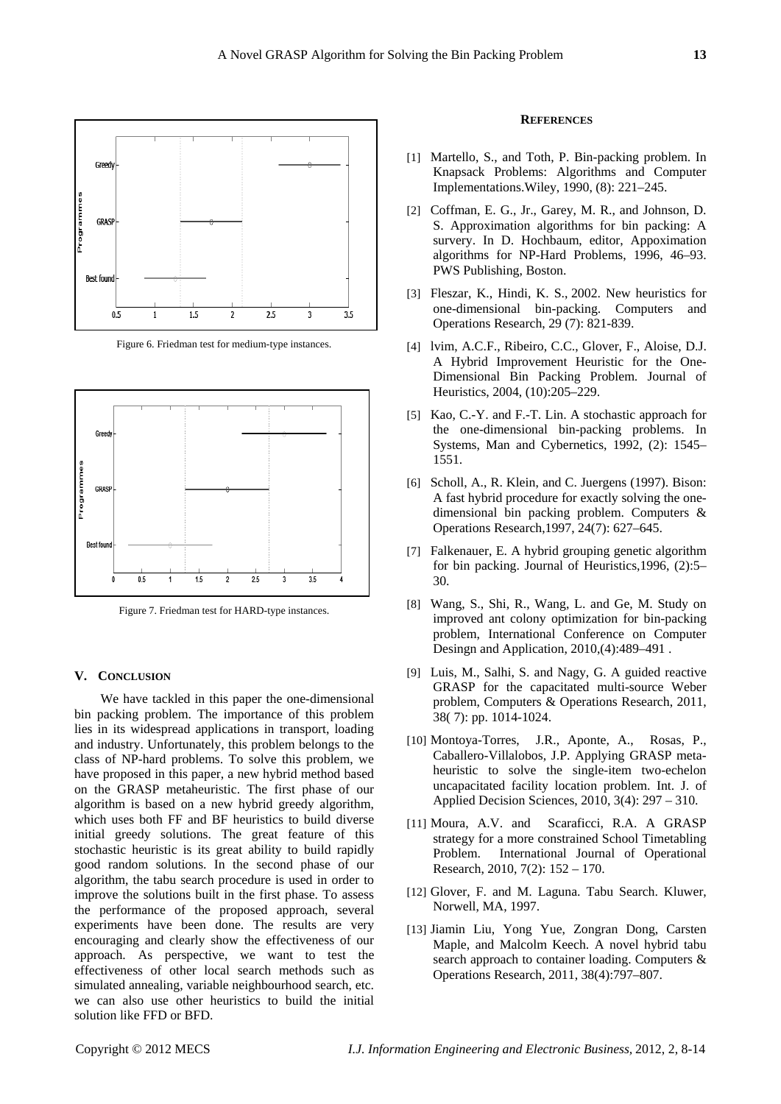

Figure 6. Friedman test for medium-type instances.



Figure 7. Friedman test for HARD-type instances.

## **V. CONCLUSION**

We have tackled in this paper the one-dimensional bin packing problem. The importance of this problem lies in its widespread applications in transport, loading and industry. Unfortunately, this problem belongs to the class of NP-hard problems. To solve this problem, we have proposed in this paper, a new hybrid method based on the GRASP metaheuristic. The first phase of our algorithm is based on a new hybrid greedy algorithm, which uses both FF and BF heuristics to build diverse initial greedy solutions. The great feature of this stochastic heuristic is its great ability to build rapidly good random solutions. In the second phase of our algorithm, the tabu search procedure is used in order to improve the solutions built in the first phase. To assess the performance of the proposed approach, several experiments have been done. The results are very encouraging and clearly show the effectiveness of our approach. As perspective, we want to test the effectiveness of other local search methods such as simulated annealing, variable neighbourhood search, etc. we can also use other heuristics to build the initial solution like FFD or BFD.

## **REFERENCES**

- [1] Martello, S., and Toth, P. Bin-packing problem. In Knapsack Problems: Algorithms and Computer Implementations.Wiley, 1990, (8): 221–245.
- [2] Coffman, E. G., Jr., Garey, M. R., and Johnson, D. S. Approximation algorithms for bin packing: A survery. In D. Hochbaum, editor, Appoximation algorithms for NP-Hard Problems, 1996, 46–93. PWS Publishing, Boston.
- [3] Fleszar, K., Hindi, K. S., 2002. New heuristics for one-dimensional bin-packing. Computers and Operations Research, 29 (7): 821-839.
- [4] lvim, A.C.F., Ribeiro, C.C., Glover, F., Aloise, D.J. A Hybrid Improvement Heuristic for the One-Dimensional Bin Packing Problem. Journal of Heuristics, 2004, (10):205–229.
- [5] Kao, C.-Y. and F.-T. Lin. A stochastic approach for the one-dimensional bin-packing problems. In Systems, Man and Cybernetics, 1992, (2): 1545– 1551.
- [6] Scholl, A., R. Klein, and C. Juergens (1997). Bison: A fast hybrid procedure for exactly solving the onedimensional bin packing problem. Computers & Operations Research,1997, 24(7): 627–645.
- [7] Falkenauer, E. A hybrid grouping genetic algorithm for bin packing. Journal of Heuristics,1996, (2):5– 30.
- [8] Wang, S., Shi, R., Wang, L. and Ge, M. Study on improved ant colony optimization for bin-packing problem, International Conference on Computer Desingn and Application, 2010,(4):489–491 .
- [9] Luis, M., Salhi, S. and Nagy, G. A guided reactive GRASP for the capacitated multi-source Weber problem, Computers & Operations Research, 2011, 38( 7): pp. 1014-1024.
- [10] Montoya-Torres, J.R., Aponte, A., Rosas, P., Caballero-Villalobos, J.P. Applying GRASP metaheuristic to solve the single-item two-echelon uncapacitated facility location problem. Int. J. of Applied Decision Sciences, 2010, 3(4): 297 – 310.
- [11] Moura, A.V. and Scaraficci, R.A. A GRASP strategy for a more constrained School Timetabling Problem. International Journal of Operational Research, 2010, 7(2): 152 – 170.
- [12] Glover, F. and M. Laguna. Tabu Search. Kluwer, Norwell, MA, 1997.
- [13] Jiamin Liu, Yong Yue, Zongran Dong, Carsten Maple, and Malcolm Keech. A novel hybrid tabu search approach to container loading. Computers & Operations Research, 2011, 38(4):797–807.